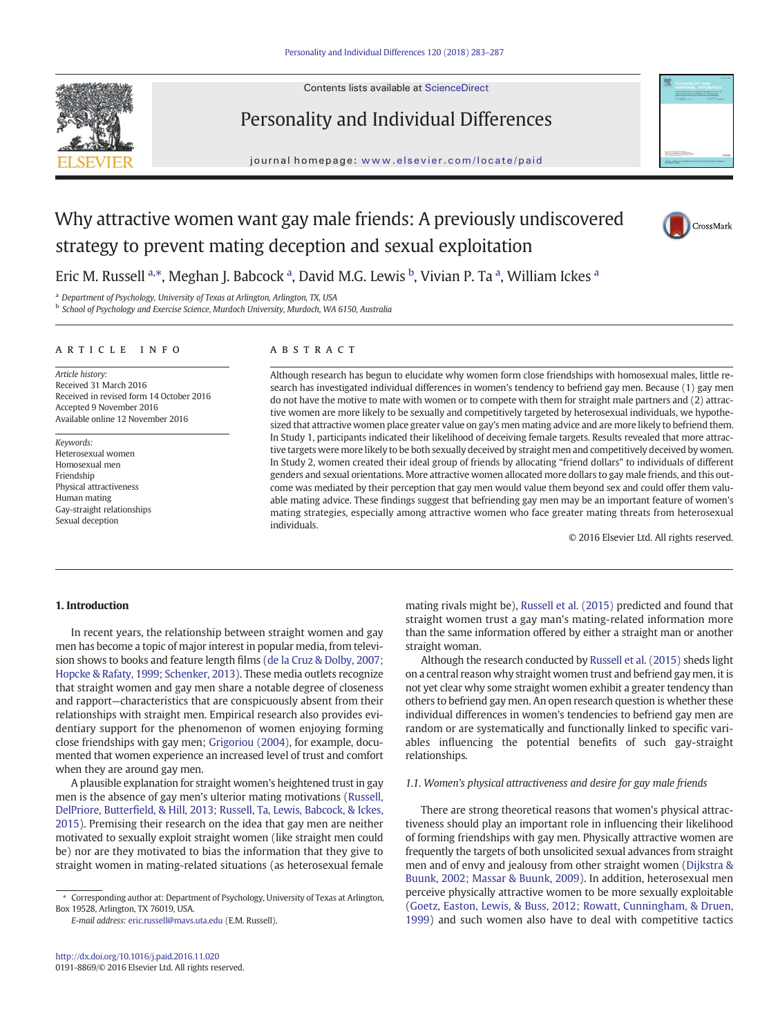

Contents lists available at [ScienceDirect](http://www.sciencedirect.com/science/journal/)

# Personality and Individual Differences

journal homepage: <www.elsevier.com/locate/paid>



# Why attractive women want gay male friends: A previously undiscovered strategy to prevent mating deception and sexual exploitation



Eric M. Russell <sup>a,\*</sup>, Meghan J. Babcock <sup>a</sup>, David M.G. Lewis <sup>b</sup>, Vivian P. Ta <sup>a</sup>, William Ickes <sup>a</sup>

<sup>a</sup> Department of Psychology, University of Texas at Arlington, Arlington, TX, USA

**b** School of Psychology and Exercise Science, Murdoch University, Murdoch, WA 6150, Australia

#### article info abstract

Article history: Received 31 March 2016 Received in revised form 14 October 2016 Accepted 9 November 2016 Available online 12 November 2016

Keywords: Heterosexual women Homosexual men Friendship Physical attractiveness Human mating Gay-straight relationships Sexual deception

Although research has begun to elucidate why women form close friendships with homosexual males, little research has investigated individual differences in women's tendency to befriend gay men. Because (1) gay men do not have the motive to mate with women or to compete with them for straight male partners and (2) attractive women are more likely to be sexually and competitively targeted by heterosexual individuals, we hypothesized that attractive women place greater value on gay's men mating advice and are more likely to befriend them. In Study 1, participants indicated their likelihood of deceiving female targets. Results revealed that more attractive targets were more likely to be both sexually deceived by straight men and competitively deceived by women. In Study 2, women created their ideal group of friends by allocating "friend dollars" to individuals of different genders and sexual orientations. More attractive women allocated more dollars to gay male friends, and this outcome was mediated by their perception that gay men would value them beyond sex and could offer them valuable mating advice. These findings suggest that befriending gay men may be an important feature of women's mating strategies, especially among attractive women who face greater mating threats from heterosexual individuals.

© 2016 Elsevier Ltd. All rights reserved.

# 1. Introduction

In recent years, the relationship between straight women and gay men has become a topic of major interest in popular media, from television shows to books and feature length films ([de la Cruz & Dolby, 2007;](#page-4-0) [Hopcke & Rafaty, 1999; Schenker, 2013](#page-4-0)). These media outlets recognize that straight women and gay men share a notable degree of closeness and rapport—characteristics that are conspicuously absent from their relationships with straight men. Empirical research also provides evidentiary support for the phenomenon of women enjoying forming close friendships with gay men; [Grigoriou \(2004\),](#page-4-0) for example, documented that women experience an increased level of trust and comfort when they are around gay men.

A plausible explanation for straight women's heightened trust in gay men is the absence of gay men's ulterior mating motivations ([Russell,](#page-4-0) DelPriore, Butterfi[eld, & Hill, 2013; Russell, Ta, Lewis, Babcock, & Ickes,](#page-4-0) [2015\)](#page-4-0). Premising their research on the idea that gay men are neither motivated to sexually exploit straight women (like straight men could be) nor are they motivated to bias the information that they give to straight women in mating-related situations (as heterosexual female

E-mail address: [eric.russell@mavs.uta.edu](mailto:eric.russell@mavs.uta.edu) (E.M. Russell).

mating rivals might be), [Russell et al. \(2015\)](#page-4-0) predicted and found that straight women trust a gay man's mating-related information more than the same information offered by either a straight man or another straight woman.

Although the research conducted by [Russell et al. \(2015\)](#page-4-0) sheds light on a central reason why straight women trust and befriend gay men, it is not yet clear why some straight women exhibit a greater tendency than others to befriend gay men. An open research question is whether these individual differences in women's tendencies to befriend gay men are random or are systematically and functionally linked to specific variables influencing the potential benefits of such gay-straight relationships.

# 1.1. Women's physical attractiveness and desire for gay male friends

There are strong theoretical reasons that women's physical attractiveness should play an important role in influencing their likelihood of forming friendships with gay men. Physically attractive women are frequently the targets of both unsolicited sexual advances from straight men and of envy and jealousy from other straight women ([Dijkstra &](#page-4-0) [Buunk, 2002; Massar & Buunk, 2009\)](#page-4-0). In addition, heterosexual men perceive physically attractive women to be more sexually exploitable [\(Goetz, Easton, Lewis, & Buss, 2012; Rowatt, Cunningham, & Druen,](#page-4-0) [1999\)](#page-4-0) and such women also have to deal with competitive tactics

Corresponding author at: Department of Psychology, University of Texas at Arlington, Box 19528, Arlington, TX 76019, USA.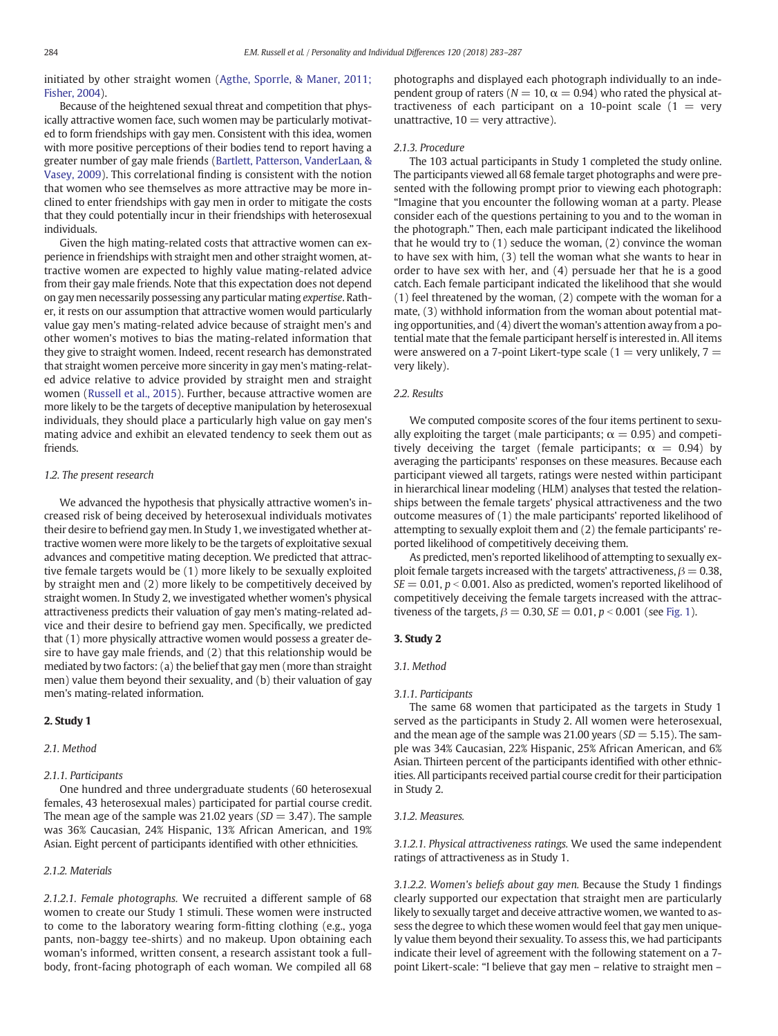initiated by other straight women [\(Agthe, Sporrle, & Maner, 2011;](#page-4-0) [Fisher, 2004\)](#page-4-0).

Because of the heightened sexual threat and competition that physically attractive women face, such women may be particularly motivated to form friendships with gay men. Consistent with this idea, women with more positive perceptions of their bodies tend to report having a greater number of gay male friends [\(Bartlett, Patterson, VanderLaan, &](#page-4-0) [Vasey, 2009\)](#page-4-0). This correlational finding is consistent with the notion that women who see themselves as more attractive may be more inclined to enter friendships with gay men in order to mitigate the costs that they could potentially incur in their friendships with heterosexual individuals.

Given the high mating-related costs that attractive women can experience in friendships with straight men and other straight women, attractive women are expected to highly value mating-related advice from their gay male friends. Note that this expectation does not depend on gay men necessarily possessing any particular mating expertise. Rather, it rests on our assumption that attractive women would particularly value gay men's mating-related advice because of straight men's and other women's motives to bias the mating-related information that they give to straight women. Indeed, recent research has demonstrated that straight women perceive more sincerity in gay men's mating-related advice relative to advice provided by straight men and straight women [\(Russell et al., 2015](#page-4-0)). Further, because attractive women are more likely to be the targets of deceptive manipulation by heterosexual individuals, they should place a particularly high value on gay men's mating advice and exhibit an elevated tendency to seek them out as friends.

### 1.2. The present research

We advanced the hypothesis that physically attractive women's increased risk of being deceived by heterosexual individuals motivates their desire to befriend gay men. In Study 1, we investigated whether attractive women were more likely to be the targets of exploitative sexual advances and competitive mating deception. We predicted that attractive female targets would be (1) more likely to be sexually exploited by straight men and (2) more likely to be competitively deceived by straight women. In Study 2, we investigated whether women's physical attractiveness predicts their valuation of gay men's mating-related advice and their desire to befriend gay men. Specifically, we predicted that (1) more physically attractive women would possess a greater desire to have gay male friends, and (2) that this relationship would be mediated by two factors: (a) the belief that gay men (more than straight men) value them beyond their sexuality, and (b) their valuation of gay men's mating-related information.

# 2. Study 1

### 2.1. Method

# 2.1.1. Participants

One hundred and three undergraduate students (60 heterosexual females, 43 heterosexual males) participated for partial course credit. The mean age of the sample was 21.02 years ( $SD = 3.47$ ). The sample was 36% Caucasian, 24% Hispanic, 13% African American, and 19% Asian. Eight percent of participants identified with other ethnicities.

# 2.1.2. Materials

2.1.2.1. Female photographs. We recruited a different sample of 68 women to create our Study 1 stimuli. These women were instructed to come to the laboratory wearing form-fitting clothing (e.g., yoga pants, non-baggy tee-shirts) and no makeup. Upon obtaining each woman's informed, written consent, a research assistant took a fullbody, front-facing photograph of each woman. We compiled all 68 photographs and displayed each photograph individually to an independent group of raters ( $N = 10$ ,  $\alpha = 0.94$ ) who rated the physical attractiveness of each participant on a 10-point scale  $(1 = \text{very}$ unattractive,  $10 =$  very attractive).

# 2.1.3. Procedure

The 103 actual participants in Study 1 completed the study online. The participants viewed all 68 female target photographs and were presented with the following prompt prior to viewing each photograph: "Imagine that you encounter the following woman at a party. Please consider each of the questions pertaining to you and to the woman in the photograph." Then, each male participant indicated the likelihood that he would try to (1) seduce the woman, (2) convince the woman to have sex with him, (3) tell the woman what she wants to hear in order to have sex with her, and (4) persuade her that he is a good catch. Each female participant indicated the likelihood that she would (1) feel threatened by the woman, (2) compete with the woman for a mate, (3) withhold information from the woman about potential mating opportunities, and (4) divert the woman's attention away from a potential mate that the female participant herself is interested in. All items were answered on a 7-point Likert-type scale ( $1 =$  very unlikely,  $7 =$ very likely).

## 2.2. Results

We computed composite scores of the four items pertinent to sexually exploiting the target (male participants;  $\alpha = 0.95$ ) and competitively deceiving the target (female participants;  $\alpha = 0.94$ ) by averaging the participants' responses on these measures. Because each participant viewed all targets, ratings were nested within participant in hierarchical linear modeling (HLM) analyses that tested the relationships between the female targets' physical attractiveness and the two outcome measures of (1) the male participants' reported likelihood of attempting to sexually exploit them and (2) the female participants' reported likelihood of competitively deceiving them.

As predicted, men's reported likelihood of attempting to sexually exploit female targets increased with the targets' attractiveness,  $\beta = 0.38$ ,  $SE = 0.01$ ,  $p < 0.001$ . Also as predicted, women's reported likelihood of competitively deceiving the female targets increased with the attractiveness of the targets,  $\beta = 0.30$ ,  $SE = 0.01$ ,  $p < 0.001$  (see [Fig. 1\)](#page-2-0).

#### 3. Study 2

#### 3.1. Method

#### 3.1.1. Participants

The same 68 women that participated as the targets in Study 1 served as the participants in Study 2. All women were heterosexual, and the mean age of the sample was 21.00 years ( $SD = 5.15$ ). The sample was 34% Caucasian, 22% Hispanic, 25% African American, and 6% Asian. Thirteen percent of the participants identified with other ethnicities. All participants received partial course credit for their participation in Study 2.

#### 3.1.2. Measures.

3.1.2.1. Physical attractiveness ratings. We used the same independent ratings of attractiveness as in Study 1.

3.1.2.2. Women's beliefs about gay men. Because the Study 1 findings clearly supported our expectation that straight men are particularly likely to sexually target and deceive attractive women, we wanted to assess the degree to which these women would feel that gay men uniquely value them beyond their sexuality. To assess this, we had participants indicate their level of agreement with the following statement on a 7 point Likert-scale: "I believe that gay men – relative to straight men –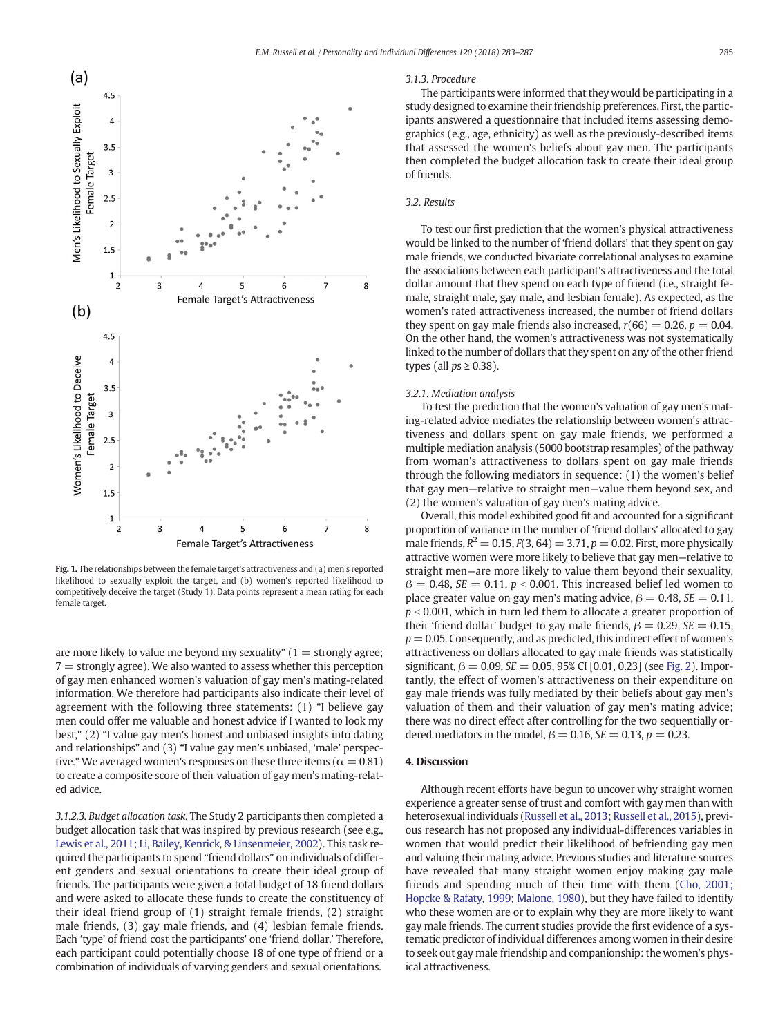<span id="page-2-0"></span>

Fig. 1. The relationships between the female target's attractiveness and (a) men's reported likelihood to sexually exploit the target, and (b) women's reported likelihood to competitively deceive the target (Study 1). Data points represent a mean rating for each female target.

are more likely to value me beyond my sexuality"  $(1 =$  strongly agree;  $7 =$  strongly agree). We also wanted to assess whether this perception of gay men enhanced women's valuation of gay men's mating-related information. We therefore had participants also indicate their level of agreement with the following three statements: (1) "I believe gay men could offer me valuable and honest advice if I wanted to look my best," (2) "I value gay men's honest and unbiased insights into dating and relationships" and (3) "I value gay men's unbiased, 'male' perspective." We averaged women's responses on these three items ( $\alpha = 0.81$ ) to create a composite score of their valuation of gay men's mating-related advice.

3.1.2.3. Budget allocation task. The Study 2 participants then completed a budget allocation task that was inspired by previous research (see e.g., [Lewis et al., 2011; Li, Bailey, Kenrick, & Linsenmeier, 2002\)](#page-4-0). This task required the participants to spend "friend dollars" on individuals of different genders and sexual orientations to create their ideal group of friends. The participants were given a total budget of 18 friend dollars and were asked to allocate these funds to create the constituency of their ideal friend group of (1) straight female friends, (2) straight male friends, (3) gay male friends, and (4) lesbian female friends. Each 'type' of friend cost the participants' one 'friend dollar.' Therefore, each participant could potentially choose 18 of one type of friend or a combination of individuals of varying genders and sexual orientations.

### 3.1.3. Procedure

The participants were informed that they would be participating in a study designed to examine their friendship preferences. First, the participants answered a questionnaire that included items assessing demographics (e.g., age, ethnicity) as well as the previously-described items that assessed the women's beliefs about gay men. The participants then completed the budget allocation task to create their ideal group of friends.

# 3.2. Results

To test our first prediction that the women's physical attractiveness would be linked to the number of 'friend dollars' that they spent on gay male friends, we conducted bivariate correlational analyses to examine the associations between each participant's attractiveness and the total dollar amount that they spend on each type of friend (i.e., straight female, straight male, gay male, and lesbian female). As expected, as the women's rated attractiveness increased, the number of friend dollars they spent on gay male friends also increased,  $r(66) = 0.26$ ,  $p = 0.04$ . On the other hand, the women's attractiveness was not systematically linked to the number of dollars that they spent on any of the other friend types (all  $ps \geq 0.38$ ).

### 3.2.1. Mediation analysis

To test the prediction that the women's valuation of gay men's mating-related advice mediates the relationship between women's attractiveness and dollars spent on gay male friends, we performed a multiple mediation analysis (5000 bootstrap resamples) of the pathway from woman's attractiveness to dollars spent on gay male friends through the following mediators in sequence: (1) the women's belief that gay men—relative to straight men—value them beyond sex, and (2) the women's valuation of gay men's mating advice.

Overall, this model exhibited good fit and accounted for a significant proportion of variance in the number of 'friend dollars' allocated to gay male friends,  $R^2 = 0.15$ ,  $F(3, 64) = 3.71$ ,  $p = 0.02$ . First, more physically attractive women were more likely to believe that gay men—relative to straight men—are more likely to value them beyond their sexuality,  $\beta = 0.48$ , SE = 0.11, p < 0.001. This increased belief led women to place greater value on gay men's mating advice,  $\beta = 0.48$ ,  $SE = 0.11$ ,  $p < 0.001$ , which in turn led them to allocate a greater proportion of their 'friend dollar' budget to gay male friends,  $\beta = 0.29$ ,  $SE = 0.15$ ,  $p = 0.05$ . Consequently, and as predicted, this indirect effect of women's attractiveness on dollars allocated to gay male friends was statistically significant,  $\beta = 0.09$ ,  $SE = 0.05$ , 95% CI [0.01, 0.23] (see [Fig. 2](#page-3-0)). Importantly, the effect of women's attractiveness on their expenditure on gay male friends was fully mediated by their beliefs about gay men's valuation of them and their valuation of gay men's mating advice; there was no direct effect after controlling for the two sequentially ordered mediators in the model,  $\beta = 0.16$ ,  $SE = 0.13$ ,  $p = 0.23$ .

# 4. Discussion

Although recent efforts have begun to uncover why straight women experience a greater sense of trust and comfort with gay men than with heterosexual individuals ([Russell et al., 2013; Russell et al., 2015](#page-4-0)), previous research has not proposed any individual-differences variables in women that would predict their likelihood of befriending gay men and valuing their mating advice. Previous studies and literature sources have revealed that many straight women enjoy making gay male friends and spending much of their time with them [\(Cho, 2001;](#page-4-0) [Hopcke & Rafaty, 1999; Malone, 1980](#page-4-0)), but they have failed to identify who these women are or to explain why they are more likely to want gay male friends. The current studies provide the first evidence of a systematic predictor of individual differences among women in their desire to seek out gay male friendship and companionship: the women's physical attractiveness.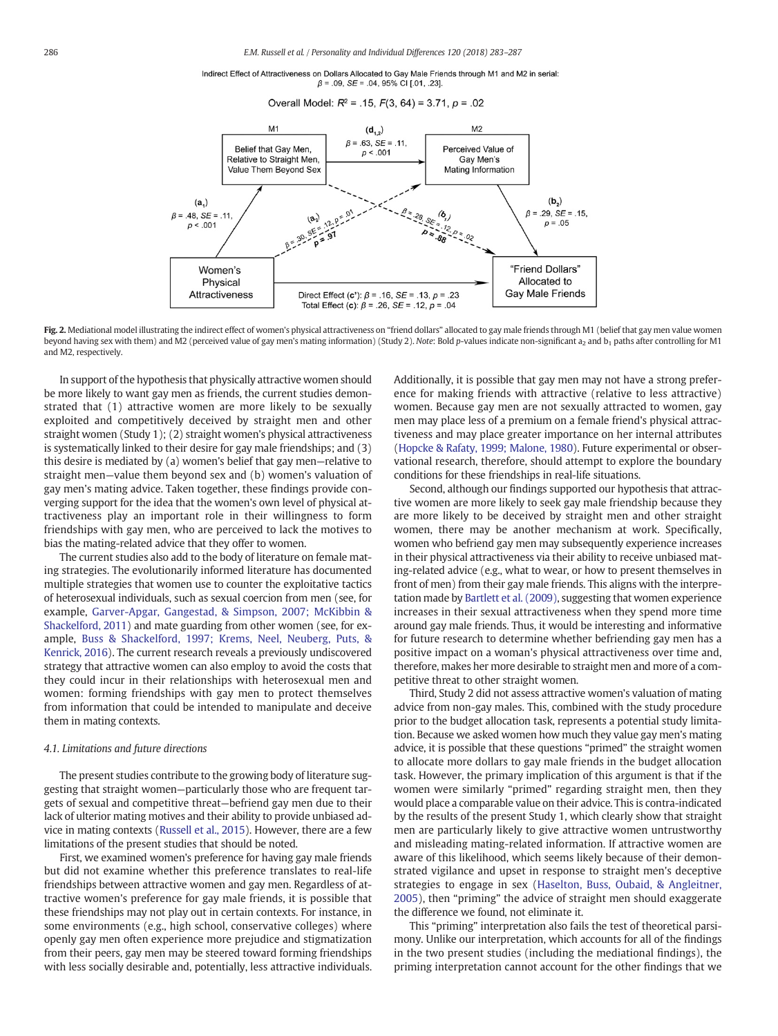Indirect Effect of Attractiveness on Dollars Allocated to Gay Male Friends through M1 and M2 in serial:  $\beta$  = .09, SE = .04, 95% CI [.01, .23].

Overall Model:  $R^2$  = .15,  $F(3, 64)$  = 3.71,  $p = .02$ 

<span id="page-3-0"></span>

Fig. 2. Mediational model illustrating the indirect effect of women's physical attractiveness on "friend dollars" allocated to gay male friends through M1 (belief that gay men value women beyond having sex with them) and M2 (perceived value of gay men's mating information) (Study 2). Note: Bold p-values indicate non-significant a<sub>2</sub> and b<sub>1</sub> paths after controlling for M1 and M2, respectively.

In support of the hypothesis that physically attractive women should be more likely to want gay men as friends, the current studies demonstrated that (1) attractive women are more likely to be sexually exploited and competitively deceived by straight men and other straight women (Study 1); (2) straight women's physical attractiveness is systematically linked to their desire for gay male friendships; and (3) this desire is mediated by (a) women's belief that gay men—relative to straight men—value them beyond sex and (b) women's valuation of gay men's mating advice. Taken together, these findings provide converging support for the idea that the women's own level of physical attractiveness play an important role in their willingness to form friendships with gay men, who are perceived to lack the motives to bias the mating-related advice that they offer to women.

The current studies also add to the body of literature on female mating strategies. The evolutionarily informed literature has documented multiple strategies that women use to counter the exploitative tactics of heterosexual individuals, such as sexual coercion from men (see, for example, [Garver-Apgar, Gangestad, & Simpson, 2007; McKibbin &](#page-4-0) [Shackelford, 2011](#page-4-0)) and mate guarding from other women (see, for example, [Buss & Shackelford, 1997; Krems, Neel, Neuberg, Puts, &](#page-4-0) [Kenrick, 2016](#page-4-0)). The current research reveals a previously undiscovered strategy that attractive women can also employ to avoid the costs that they could incur in their relationships with heterosexual men and women: forming friendships with gay men to protect themselves from information that could be intended to manipulate and deceive them in mating contexts.

### 4.1. Limitations and future directions

The present studies contribute to the growing body of literature suggesting that straight women—particularly those who are frequent targets of sexual and competitive threat—befriend gay men due to their lack of ulterior mating motives and their ability to provide unbiased advice in mating contexts [\(Russell et al., 2015\)](#page-4-0). However, there are a few limitations of the present studies that should be noted.

First, we examined women's preference for having gay male friends but did not examine whether this preference translates to real-life friendships between attractive women and gay men. Regardless of attractive women's preference for gay male friends, it is possible that these friendships may not play out in certain contexts. For instance, in some environments (e.g., high school, conservative colleges) where openly gay men often experience more prejudice and stigmatization from their peers, gay men may be steered toward forming friendships with less socially desirable and, potentially, less attractive individuals. Additionally, it is possible that gay men may not have a strong preference for making friends with attractive (relative to less attractive) women. Because gay men are not sexually attracted to women, gay men may place less of a premium on a female friend's physical attractiveness and may place greater importance on her internal attributes [\(Hopcke & Rafaty, 1999; Malone, 1980\)](#page-4-0). Future experimental or observational research, therefore, should attempt to explore the boundary conditions for these friendships in real-life situations.

Second, although our findings supported our hypothesis that attractive women are more likely to seek gay male friendship because they are more likely to be deceived by straight men and other straight women, there may be another mechanism at work. Specifically, women who befriend gay men may subsequently experience increases in their physical attractiveness via their ability to receive unbiased mating-related advice (e.g., what to wear, or how to present themselves in front of men) from their gay male friends. This aligns with the interpretation made by [Bartlett et al. \(2009\),](#page-4-0) suggesting that women experience increases in their sexual attractiveness when they spend more time around gay male friends. Thus, it would be interesting and informative for future research to determine whether befriending gay men has a positive impact on a woman's physical attractiveness over time and, therefore, makes her more desirable to straight men and more of a competitive threat to other straight women.

Third, Study 2 did not assess attractive women's valuation of mating advice from non-gay males. This, combined with the study procedure prior to the budget allocation task, represents a potential study limitation. Because we asked women how much they value gay men's mating advice, it is possible that these questions "primed" the straight women to allocate more dollars to gay male friends in the budget allocation task. However, the primary implication of this argument is that if the women were similarly "primed" regarding straight men, then they would place a comparable value on their advice. This is contra-indicated by the results of the present Study 1, which clearly show that straight men are particularly likely to give attractive women untrustworthy and misleading mating-related information. If attractive women are aware of this likelihood, which seems likely because of their demonstrated vigilance and upset in response to straight men's deceptive strategies to engage in sex [\(Haselton, Buss, Oubaid, & Angleitner,](#page-4-0) [2005](#page-4-0)), then "priming" the advice of straight men should exaggerate the difference we found, not eliminate it.

This "priming" interpretation also fails the test of theoretical parsimony. Unlike our interpretation, which accounts for all of the findings in the two present studies (including the mediational findings), the priming interpretation cannot account for the other findings that we